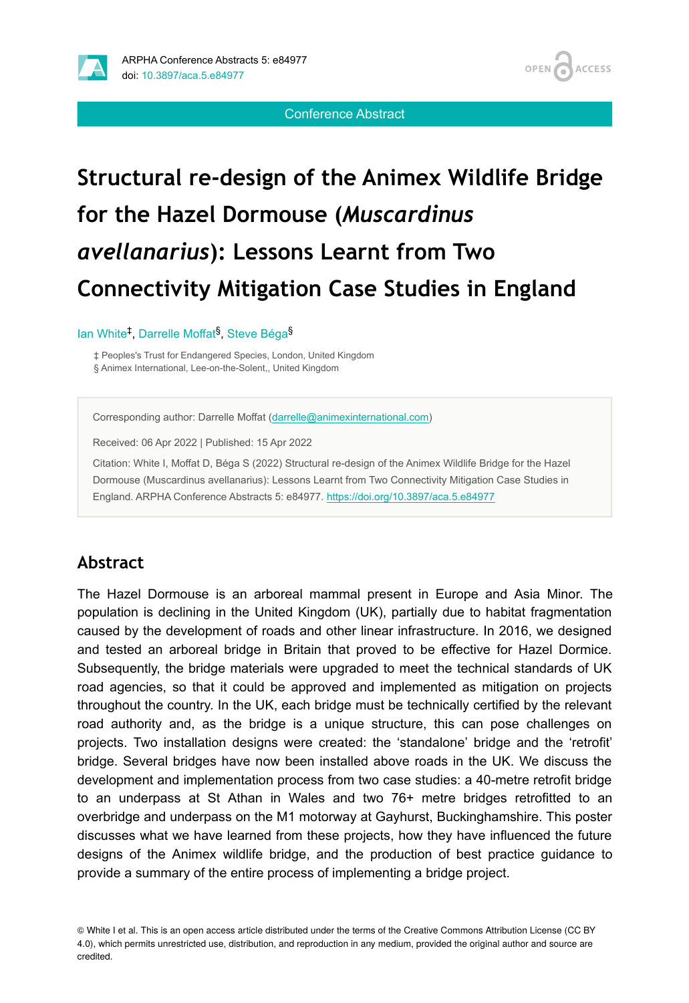

#### Conference Abstract

# **Structural re-design of the Animex Wildlife Bridge for the Hazel Dormouse (***Muscardinus avellanarius***): Lessons Learnt from Two Connectivity Mitigation Case Studies in England**

lan White<sup>‡</sup>, Darrelle Moffat<sup>§</sup>, Steve Béga<sup>§</sup>

‡ Peoples's Trust for Endangered Species, London, United Kingdom § Animex International, Lee-on-the-Solent,, United Kingdom

Corresponding author: Darrelle Moffat ([darrelle@animexinternational.com\)](mailto:darrelle@animexinternational.com)

Received: 06 Apr 2022 | Published: 15 Apr 2022

Citation: White I, Moffat D, Béga S (2022) Structural re-design of the Animex Wildlife Bridge for the Hazel Dormouse (Muscardinus avellanarius): Lessons Learnt from Two Connectivity Mitigation Case Studies in England. ARPHA Conference Abstracts 5: e84977. <https://doi.org/10.3897/aca.5.e84977>

#### **Abstract**

The Hazel Dormouse is an arboreal mammal present in Europe and Asia Minor. The population is declining in the United Kingdom (UK), partially due to habitat fragmentation caused by the development of roads and other linear infrastructure. In 2016, we designed and tested an arboreal bridge in Britain that proved to be effective for Hazel Dormice. Subsequently, the bridge materials were upgraded to meet the technical standards of UK road agencies, so that it could be approved and implemented as mitigation on projects throughout the country. In the UK, each bridge must be technically certified by the relevant road authority and, as the bridge is a unique structure, this can pose challenges on projects. Two installation designs were created: the 'standalone' bridge and the 'retrofit' bridge. Several bridges have now been installed above roads in the UK. We discuss the development and implementation process from two case studies: a 40-metre retrofit bridge to an underpass at St Athan in Wales and two 76+ metre bridges retrofitted to an overbridge and underpass on the M1 motorway at Gayhurst, Buckinghamshire. This poster discusses what we have learned from these projects, how they have influenced the future designs of the Animex wildlife bridge, and the production of best practice guidance to provide a summary of the entire process of implementing a bridge project.

© White I et al. This is an open access article distributed under the terms of the Creative Commons Attribution License (CC BY 4.0), which permits unrestricted use, distribution, and reproduction in any medium, provided the original author and source are credited.